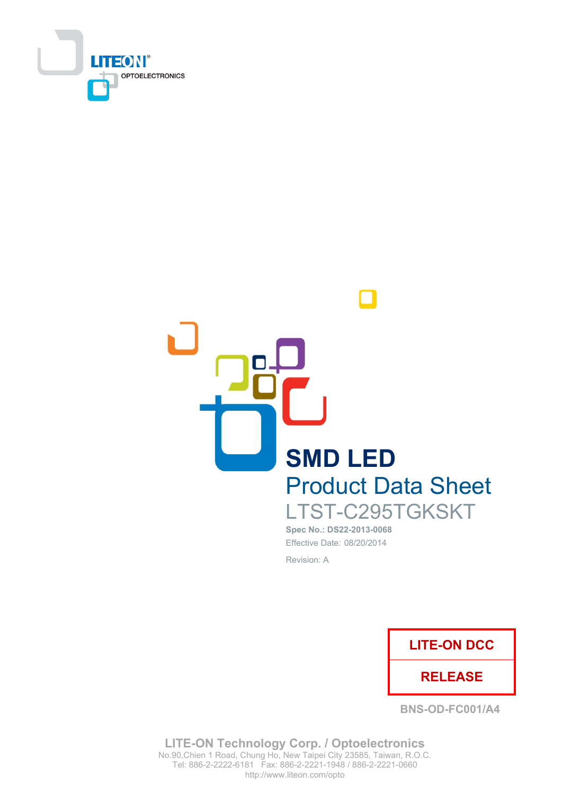



Spec No.: DS22-2013-0068 Effective Date: 08/20/2014

Revision: A



**BNS-OD-FC001/A4** 

**LITE-ON Technology Corp. / Optoelectronics** No.90, Chien 1 Road, Chung Ho, New Taipei City 23585, Taiwan, R.O.C. Tel: 886-2-2222-6181 Fax: 886-2-2221-1948 / 886-2-2221-0660 http://www.liteon.com/opto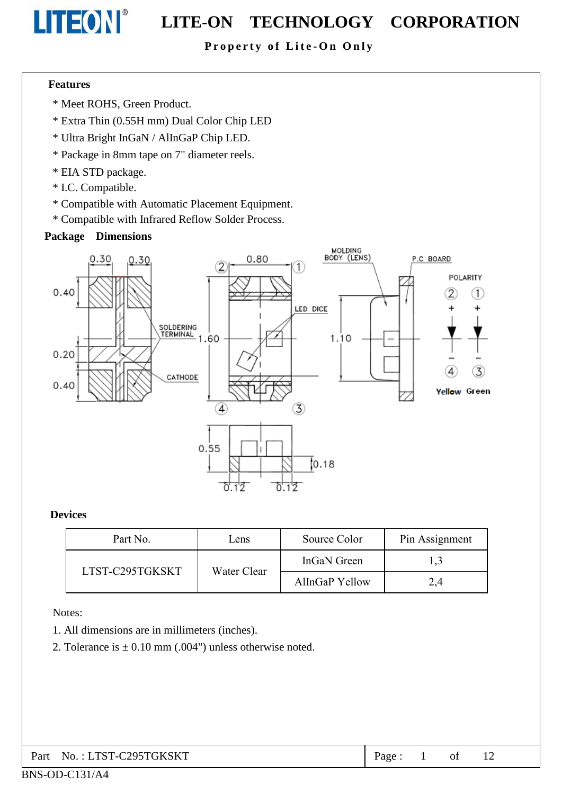

# **LITEON**<sup>®</sup> LITE-ON TECHNOLOGY CORPORATION

#### Property of Lite-On Only

#### **Features**

- \* Meet ROHS, Green Product.
- \* Extra Thin (0.55H mm) Dual Color Chip LED
- \* Ultra Bright InGaN / AlInGaP Chip LED.
- \* Package in 8mm tape on 7" diameter reels.
- \* EIA STD package.
- \* I.C. Compatible.
- \* Compatible with Automatic Placement Equipment.
- \* Compatible with Infrared Reflow Solder Process.

#### **Package Dimensions**



#### **Devices**

| Part No.        | Lens        | Source Color   | Pin Assignment |
|-----------------|-------------|----------------|----------------|
|                 |             | InGaN Green    |                |
| LTST-C295TGKSKT | Water Clear | AlInGaP Yellow | 2,4            |

Notes:

- 1. All dimensions are in millimeters (inches).
- 2. Tolerance is  $\pm 0.10$  mm (.004") unless otherwise noted.

| Part No.: LTST-C295TGKSKT | Page: 1 |  |  |  |  |
|---------------------------|---------|--|--|--|--|
|---------------------------|---------|--|--|--|--|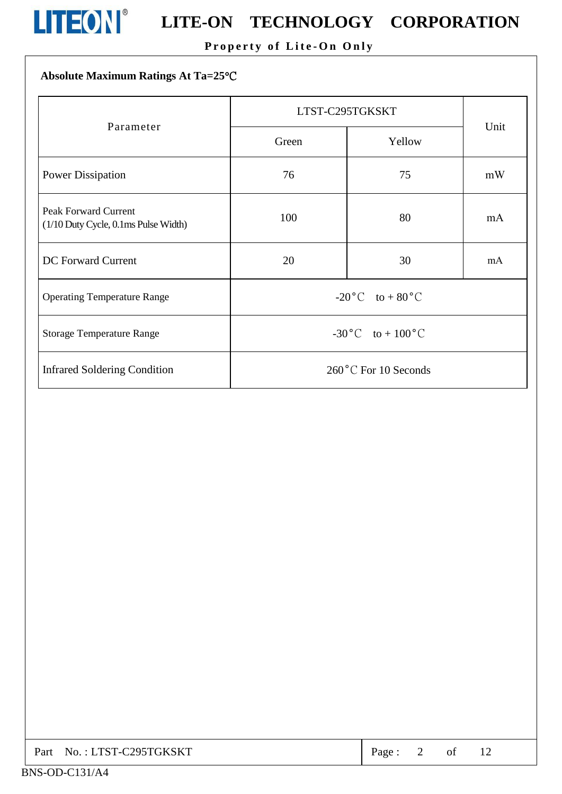

# **LITEON**<sup>®</sup> LITE-ON TECHNOLOGY CORPORATION

#### Property of Lite-On Only

| Absolute Maximum Ratings At Ta=25°C                                 |                                   |                 |      |  |  |  |  |
|---------------------------------------------------------------------|-----------------------------------|-----------------|------|--|--|--|--|
| Parameter                                                           |                                   | LTST-C295TGKSKT |      |  |  |  |  |
|                                                                     | Green                             | Yellow          | Unit |  |  |  |  |
| <b>Power Dissipation</b>                                            | 76                                | 75              | mW   |  |  |  |  |
| <b>Peak Forward Current</b><br>(1/10 Duty Cycle, 0.1ms Pulse Width) | 100                               | 80              | mA   |  |  |  |  |
| <b>DC</b> Forward Current                                           | 20                                | 30              | mA   |  |  |  |  |
| <b>Operating Temperature Range</b>                                  | $-20\degree C$ to $+80\degree C$  |                 |      |  |  |  |  |
| <b>Storage Temperature Range</b>                                    | $-30\degree C$ to $+100\degree C$ |                 |      |  |  |  |  |
| <b>Infrared Soldering Condition</b>                                 | 260 °C For 10 Seconds             |                 |      |  |  |  |  |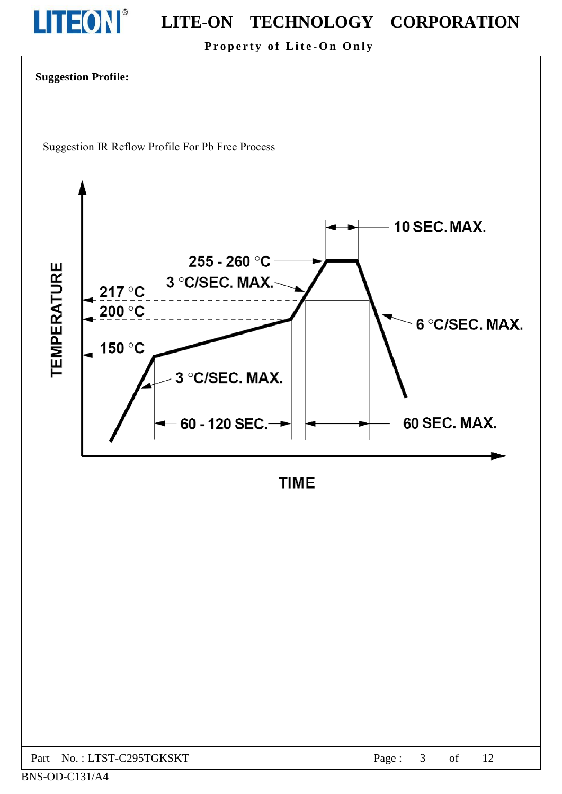

Property of Lite-On Only



Suggestion IR Reflow Profile For Pb Free Process



**TIME** 

| Part No.: LTST-C295TGKSKT | Page: |  |  |  |
|---------------------------|-------|--|--|--|
|---------------------------|-------|--|--|--|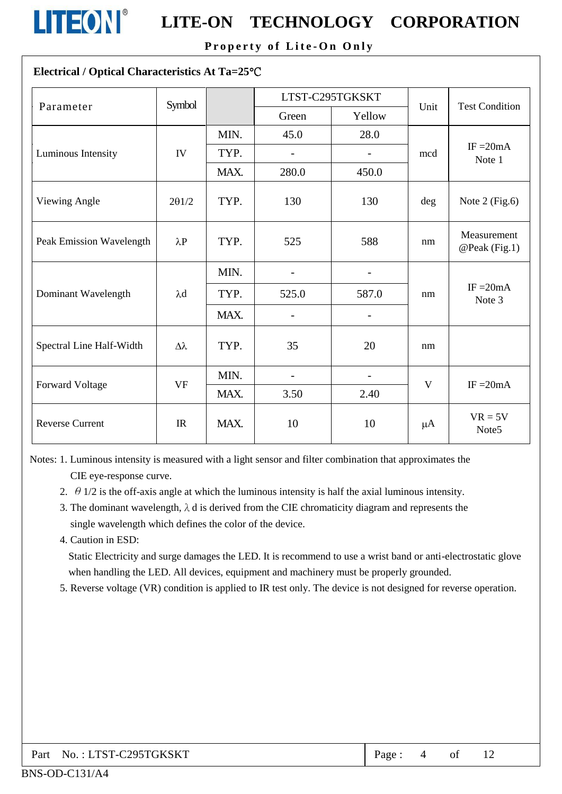

Property of Lite-On Only

#### Electrical / Optical Characteristics At Ta=25°C

| Parameter                | Symbol      |      | LTST-C295TGKSKT          |                   |         | <b>Test Condition</b>          |  |
|--------------------------|-------------|------|--------------------------|-------------------|---------|--------------------------------|--|
|                          |             |      | Green                    | Yellow            | Unit    |                                |  |
|                          |             | MIN. | 45.0                     | 28.0              |         |                                |  |
| Luminous Intensity       | IV          | TYP. | $\qquad \qquad -$        |                   | mcd     | IF $=20mA$<br>Note 1           |  |
|                          |             | MAX. | 280.0                    | 450.0             |         |                                |  |
| Viewing Angle            | 201/2       | TYP. | 130                      | 130               | deg     | Note $2$ (Fig.6)               |  |
| Peak Emission Wavelength | $\lambda$ P | TYP. | 525                      | 588               | nm      | Measurement<br>@Peak (Fig.1)   |  |
|                          |             | MIN. | $\overline{a}$           | $\overline{a}$    |         |                                |  |
| Dominant Wavelength      | $\lambda$ d | TYP. | 525.0                    | 587.0             | nm      | $IF = 20mA$<br>Note 3          |  |
|                          |             | MAX. | $\overline{a}$           | $\overline{a}$    |         |                                |  |
| Spectral Line Half-Width | Δλ          | TYP. | 35                       | 20                | nm      |                                |  |
| <b>Forward Voltage</b>   | <b>VF</b>   | MIN. | $\overline{\phantom{0}}$ | $\qquad \qquad -$ | V       | $IF = 20mA$                    |  |
|                          |             | MAX. | 3.50                     | 2.40              |         |                                |  |
| <b>Reverse Current</b>   | IR          | MAX. | 10                       | 10                | $\mu A$ | $VR = 5V$<br>Note <sub>5</sub> |  |

Notes: 1. Luminous intensity is measured with a light sensor and filter combination that approximates the CIE eye-response curve.

- 2.  $\theta$  1/2 is the off-axis angle at which the luminous intensity is half the axial luminous intensity.
- 3. The dominant wavelength,  $\lambda$  d is derived from the CIE chromaticity diagram and represents the single wavelength which defines the color of the device.
- 4. Caution in ESD:

Static Electricity and surge damages the LED. It is recommend to use a wrist band or anti-electrostatic glove when handling the LED. All devices, equipment and machinery must be properly grounded.

5. Reverse voltage (VR) condition is applied to IR test only. The device is not designed for reverse operation.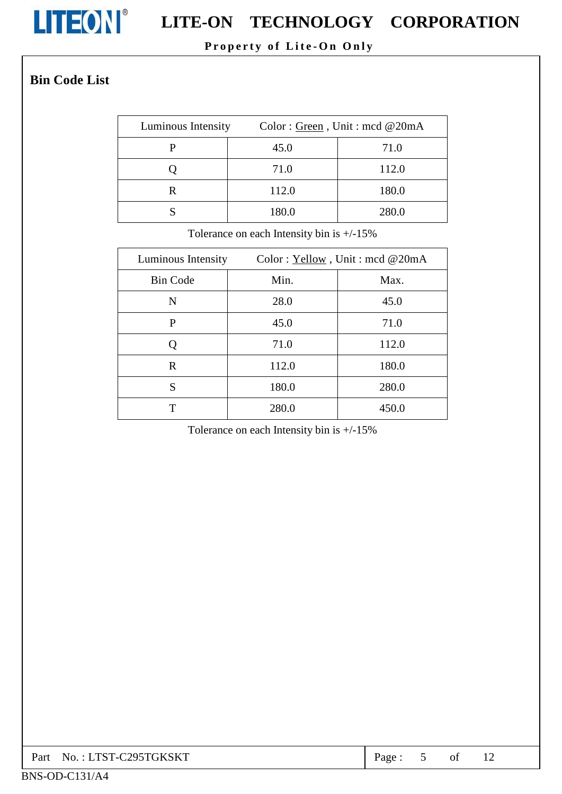

# LITEON EITE-ON TECHNOLOGY CORPORATION

#### Property of Lite-On Only

#### **Bin Code List**

| Luminous Intensity | Color: Green, Unit: mcd @20mA |       |
|--------------------|-------------------------------|-------|
|                    | 45.0                          | 71.0  |
|                    | 71.0                          | 112.0 |
|                    | 112.0                         | 180.0 |
|                    | 180.0                         | 280.0 |

Tolerance on each Intensity bin is  $+/-15\%$ 

| Luminous Intensity | Color: Yellow, Unit: mcd @20mA |       |  |
|--------------------|--------------------------------|-------|--|
| <b>Bin Code</b>    | Min.                           | Max.  |  |
| N                  | 28.0                           | 45.0  |  |
| P                  | 45.0                           | 71.0  |  |
| Q                  | 71.0                           | 112.0 |  |
| R                  | 112.0                          | 180.0 |  |
| S                  | 180.0                          | 280.0 |  |
| Т                  | 280.0                          | 450.0 |  |

Tolerance on each Intensity bin is  $+/-15\%$ 

| Part No.: LTST-C295TGKSKT | Page: |  |  |  |
|---------------------------|-------|--|--|--|
|---------------------------|-------|--|--|--|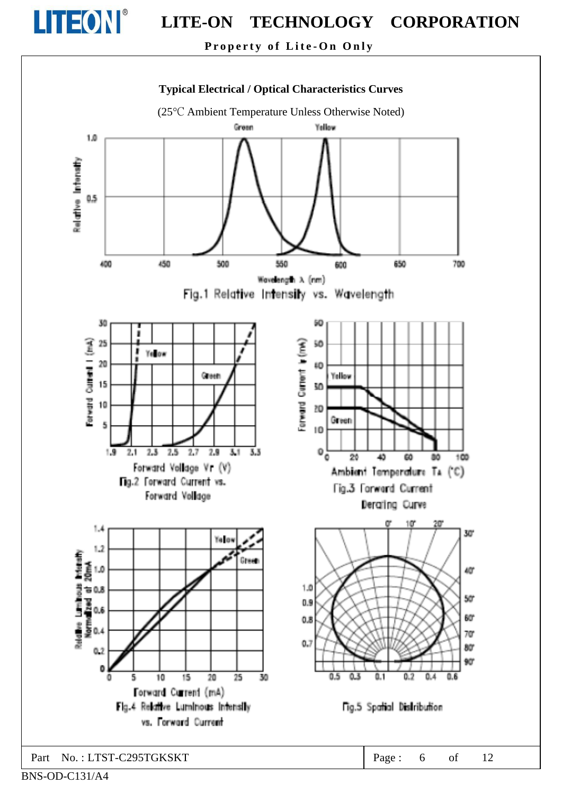

Property of Lite-On Only



BNS-OD-C131/A4

Part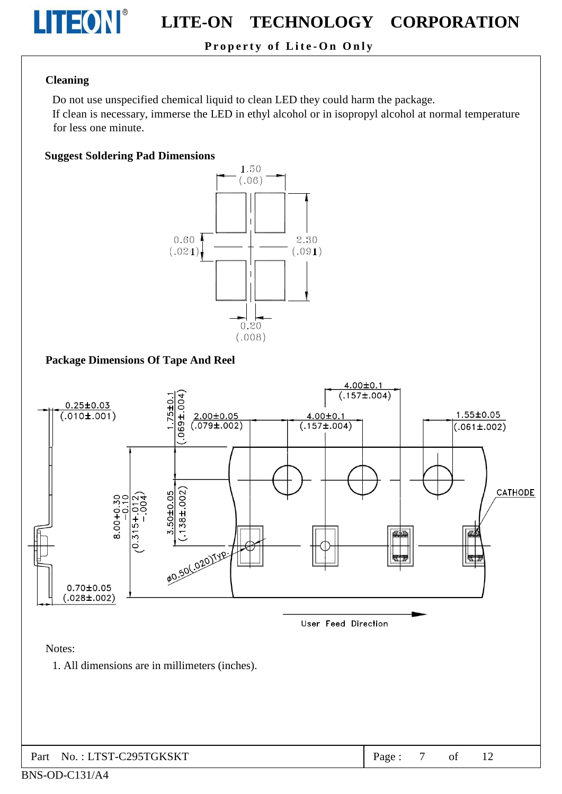

#### Property of Lite-On Only

#### **Cleaning**

Do not use unspecified chemical liquid to clean LED they could harm the package.

If clean is necessary, immerse the LED in ethyl alcohol or in isopropyl alcohol at normal temperature for less one minute.

#### **Suggest Soldering Pad Dimensions**



#### **Package Dimensions Of Tape And Reel**

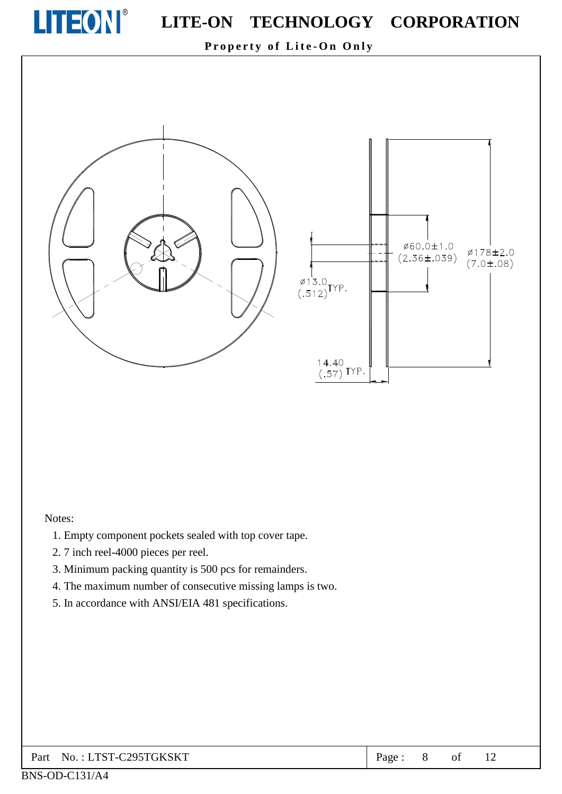

Property of Lite-On Only



#### Notes:

- 1. Empty component pockets sealed with top cover tape.
- 2.7 inch reel-4000 pieces per reel.
- 3. Minimum packing quantity is 500 pcs for remainders.
- 4. The maximum number of consecutive missing lamps is two.
- 5. In accordance with ANSI/EIA 481 specifications.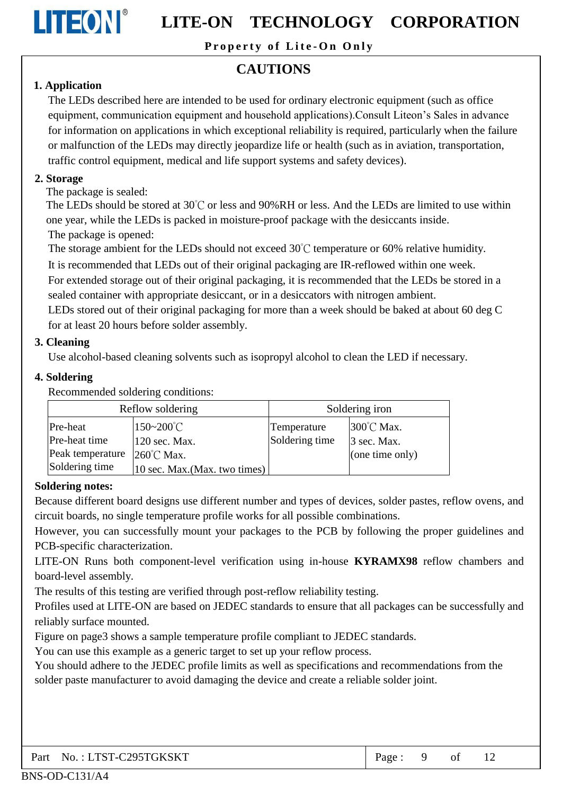

Property of Lite-On Only

### **CAUTIONS**

#### 1. Application

The LEDs described here are intended to be used for ordinary electronic equipment (such as office equipment, communication equipment and household applications). Consult Liteon's Sales in advance for information on applications in which exceptional reliability is required, particularly when the failure or malfunction of the LEDs may directly jeopardize life or health (such as in aviation, transportation, traffic control equipment, medical and life support systems and safety devices).

#### 2. Storage

The package is sealed:

The LEDs should be stored at 30°C or less and 90%RH or less. And the LEDs are limited to use within one year, while the LEDs is packed in moisture-proof package with the desiccants inside. The package is opened:

The storage ambient for the LEDs should not exceed  $30^{\circ}$ C temperature or 60% relative humidity.

It is recommended that LEDs out of their original packaging are IR-reflowed within one week.

For extended storage out of their original packaging, it is recommended that the LEDs be stored in a sealed container with appropriate desiccant, or in a desiccators with nitrogen ambient.

LEDs stored out of their original packaging for more than a week should be baked at about 60 deg C for at least 20 hours before solder assembly.

#### 3. Cleaning

Use alcohol-based cleaning solvents such as isopropyl alcohol to clean the LED if necessary.

#### 4. Soldering

Recommended soldering conditions:

| Reflow soldering |                               | Soldering iron |                 |  |
|------------------|-------------------------------|----------------|-----------------|--|
| Pre-heat         | 150~200°C                     | Temperature    | 300°C Max.      |  |
| Pre-heat time    | 120 sec. Max.                 | Soldering time | 3 sec. Max.     |  |
| Peak temperature | $260^{\circ}$ C Max.          |                | (one time only) |  |
| Soldering time   | 10 sec. Max. (Max. two times) |                |                 |  |

#### **Soldering notes:**

Because different board designs use different number and types of devices, solder pastes, reflow ovens, and circuit boards, no single temperature profile works for all possible combinations.

However, you can successfully mount your packages to the PCB by following the proper guidelines and PCB-specific characterization.

LITE-ON Runs both component-level verification using in-house KYRAMX98 reflow chambers and board-level assembly.

The results of this testing are verified through post-reflow reliability testing.

Profiles used at LITE-ON are based on JEDEC standards to ensure that all packages can be successfully and reliably surface mounted.

Figure on page3 shows a sample temperature profile compliant to JEDEC standards.

You can use this example as a generic target to set up your reflow process.

You should adhere to the JEDEC profile limits as well as specifications and recommendations from the solder paste manufacturer to avoid damaging the device and create a reliable solder joint.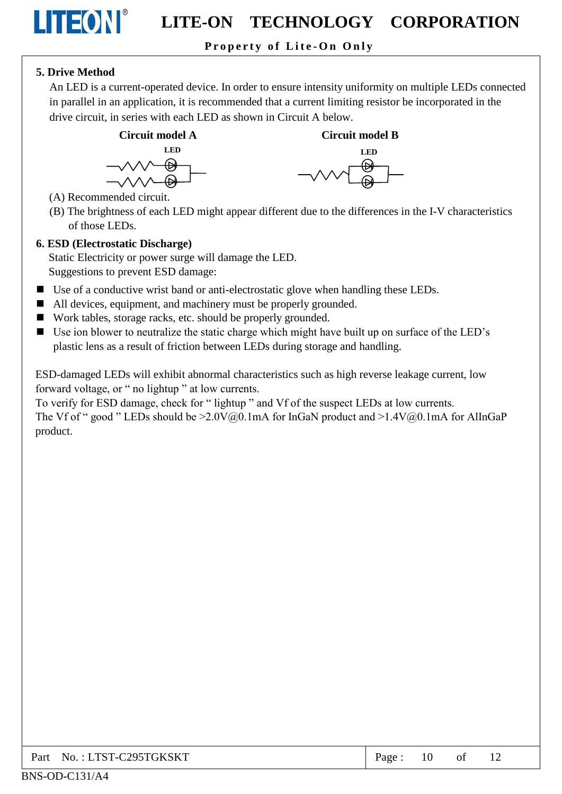#### Property of Lite-On Only

#### 5. Drive Method

LITEON®

An LED is a current-operated device. In order to ensure intensity uniformity on multiple LEDs connected in parallel in an application, it is recommended that a current limiting resistor be incorporated in the drive circuit, in series with each LED as shown in Circuit A below.





- (A) Recommended circuit.
- (B) The brightness of each LED might appear different due to the differences in the I-V characteristics of those LEDs

#### 6. ESD (Electrostatic Discharge)

Static Electricity or power surge will damage the LED. Suggestions to prevent ESD damage:

- Use of a conductive wrist band or anti-electrostatic glove when handling these LEDs.
- All devices, equipment, and machinery must be properly grounded.
- Work tables, storage racks, etc. should be properly grounded.
- Use ion blower to neutralize the static charge which might have built up on surface of the LED's plastic lens as a result of friction between LEDs during storage and handling.

ESD-damaged LEDs will exhibit abnormal characteristics such as high reverse leakage current, low forward voltage, or " no lightup " at low currents.

To verify for ESD damage, check for "lightup" and Vf of the suspect LEDs at low currents. The Vf of " good " LEDs should be  $\geq 2.0 \text{V}(a)0.1 \text{mA}$  for InGaN product and  $\geq 1.4 \text{V}(a)0.1 \text{mA}$  for AlInGaP product.

| Part No.: LTST-C295TGKSKT | Page: | 10 | of |  |
|---------------------------|-------|----|----|--|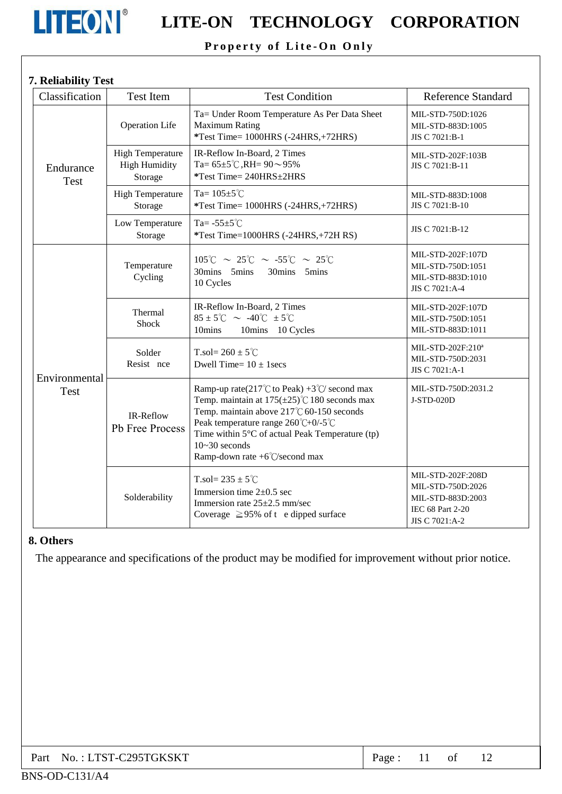

## **LITEON**<sup>®</sup> LITE-ON TECHNOLOGY CORPORATION

#### Property of Lite-On Only

#### 7. Reliability Test

| Classification           | Test Item                                                  | <b>Test Condition</b>                                                                                                                                                                                                                                                                                                  | <b>Reference Standard</b>                                                                         |
|--------------------------|------------------------------------------------------------|------------------------------------------------------------------------------------------------------------------------------------------------------------------------------------------------------------------------------------------------------------------------------------------------------------------------|---------------------------------------------------------------------------------------------------|
|                          | Operation Life                                             | Ta= Under Room Temperature As Per Data Sheet<br><b>Maximum Rating</b><br>*Test Time= 1000HRS (-24HRS,+72HRS)                                                                                                                                                                                                           | MIL-STD-750D:1026<br>MIL-STD-883D:1005<br>JIS C 7021:B-1                                          |
| Endurance<br><b>Test</b> | <b>High Temperature</b><br><b>High Humidity</b><br>Storage | IR-Reflow In-Board, 2 Times<br>Ta= $65 \pm 5^{\circ}$ C, RH= $90 \sim 95\%$<br>*Test Time= 240HRS ±2HRS                                                                                                                                                                                                                | MIL-STD-202F:103B<br>JIS C 7021:B-11                                                              |
|                          | <b>High Temperature</b><br>Storage                         | Ta= $105 \pm 5^{\circ}$ C<br>*Test Time= 1000HRS (-24HRS,+72HRS)                                                                                                                                                                                                                                                       | MIL-STD-883D:1008<br>JIS C 7021:B-10                                                              |
|                          | Low Temperature<br>Storage                                 | Ta= $-55 \pm 5^{\circ}$ C<br>*Test Time=1000HRS (-24HRS,+72H RS)                                                                                                                                                                                                                                                       | JIS C 7021:B-12                                                                                   |
| Environmental<br>Test    | Temperature<br>Cycling                                     | $105^{\circ}$ C ~ 25 $^{\circ}$ C ~ -55 $^{\circ}$ C ~ 25 $^{\circ}$ C<br>30mins 5mins 30mins 5mins<br>10 Cycles                                                                                                                                                                                                       | MIL-STD-202F:107D<br>MIL-STD-750D:1051<br>MIL-STD-883D:1010<br>JIS C 7021:A-4                     |
|                          | Thermal<br><b>Shock</b>                                    | IR-Reflow In-Board, 2 Times<br>85 ± 5°C $\sim$ -40°C ± 5°C<br>10mins<br>10mins 10 Cycles                                                                                                                                                                                                                               | MIL-STD-202F:107D<br>MIL-STD-750D:1051<br>MIL-STD-883D:1011                                       |
|                          | Solder<br>Resist nce                                       | T.sol= $260 \pm 5^{\circ}$ C<br>Dwell Time= $10 \pm 1$ secs                                                                                                                                                                                                                                                            | MIL-STD-202F:210 <sup>a</sup><br>MIL-STD-750D:2031<br>JIS C 7021:A-1                              |
|                          | IR-Reflow<br>Pb Free Process                               | Ramp-up rate(217°C to Peak) +3°C/ second max<br>Temp. maintain at $175(\pm 25)$ °C 180 seconds max<br>Temp. maintain above $217^{\circ}$ C 60-150 seconds<br>Peak temperature range 260°C+0/-5°C<br>Time within $5 \, \text{C}$ of actual Peak Temperature (tp)<br>$10 - 30$ seconds<br>Ramp-down rate +6°C/second max | MIL-STD-750D:2031.2<br>J-STD-020D                                                                 |
|                          | Solderability                                              | T.sol= $235 \pm 5^{\circ}$ C<br>Immersion time $2 \pm 0.5$ sec<br>Immersion rate $25 \pm 2.5$ mm/sec<br>Coverage $\geq$ 95% of t e dipped surface                                                                                                                                                                      | MIL-STD-202F:208D<br>MIL-STD-750D:2026<br>MIL-STD-883D:2003<br>IEC 68 Part 2-20<br>JIS C 7021:A-2 |

#### 8. Others

The appearance and specifications of the product may be modified for improvement without prior notice.

| Part No.: LTST-C295TGKSKT | Page: |  |  |  |  |
|---------------------------|-------|--|--|--|--|
|---------------------------|-------|--|--|--|--|

#### BNS-OD-C131/A4